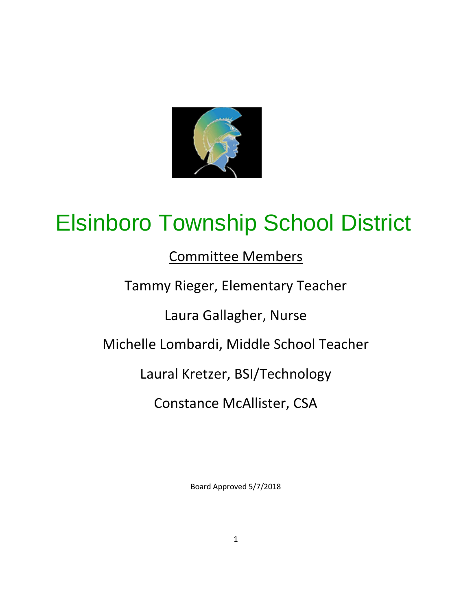

# Elsinboro Township School District

# Committee Members

# Tammy Rieger, Elementary Teacher

Laura Gallagher, Nurse

# Michelle Lombardi, Middle School Teacher

Laural Kretzer, BSI/Technology

Constance McAllister, CSA

Board Approved 5/7/2018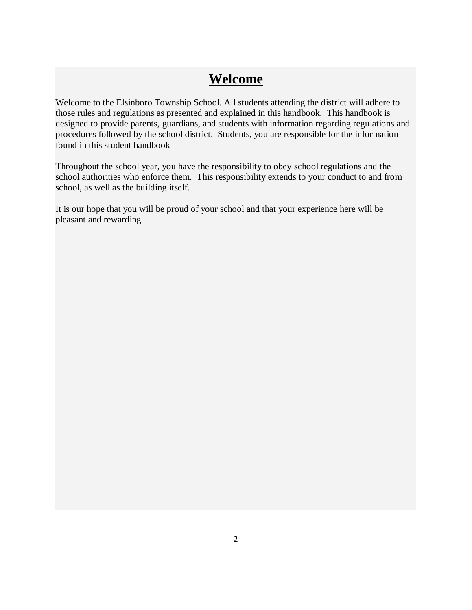# **Welcome**

Welcome to the Elsinboro Township School. All students attending the district will adhere to those rules and regulations as presented and explained in this handbook. This handbook is designed to provide parents, guardians, and students with information regarding regulations and procedures followed by the school district. Students, you are responsible for the information found in this student handbook

Throughout the school year, you have the responsibility to obey school regulations and the school authorities who enforce them. This responsibility extends to your conduct to and from school, as well as the building itself.

It is our hope that you will be proud of your school and that your experience here will be pleasant and rewarding.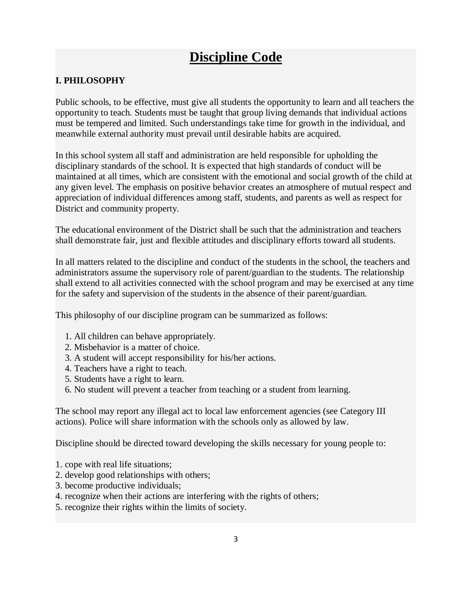# **Discipline Code**

# **I. PHILOSOPHY**

Public schools, to be effective, must give all students the opportunity to learn and all teachers the opportunity to teach. Students must be taught that group living demands that individual actions must be tempered and limited. Such understandings take time for growth in the individual, and meanwhile external authority must prevail until desirable habits are acquired.

In this school system all staff and administration are held responsible for upholding the disciplinary standards of the school. It is expected that high standards of conduct will be maintained at all times, which are consistent with the emotional and social growth of the child at any given level. The emphasis on positive behavior creates an atmosphere of mutual respect and appreciation of individual differences among staff, students, and parents as well as respect for District and community property.

The educational environment of the District shall be such that the administration and teachers shall demonstrate fair, just and flexible attitudes and disciplinary efforts toward all students.

In all matters related to the discipline and conduct of the students in the school, the teachers and administrators assume the supervisory role of parent/guardian to the students. The relationship shall extend to all activities connected with the school program and may be exercised at any time for the safety and supervision of the students in the absence of their parent/guardian.

This philosophy of our discipline program can be summarized as follows:

- 1. All children can behave appropriately.
- 2. Misbehavior is a matter of choice.
- 3. A student will accept responsibility for his/her actions.
- 4. Teachers have a right to teach.
- 5. Students have a right to learn.
- 6. No student will prevent a teacher from teaching or a student from learning.

The school may report any illegal act to local law enforcement agencies (see Category III actions). Police will share information with the schools only as allowed by law.

Discipline should be directed toward developing the skills necessary for young people to:

- 1. cope with real life situations;
- 2. develop good relationships with others;
- 3. become productive individuals;
- 4. recognize when their actions are interfering with the rights of others;
- 5. recognize their rights within the limits of society.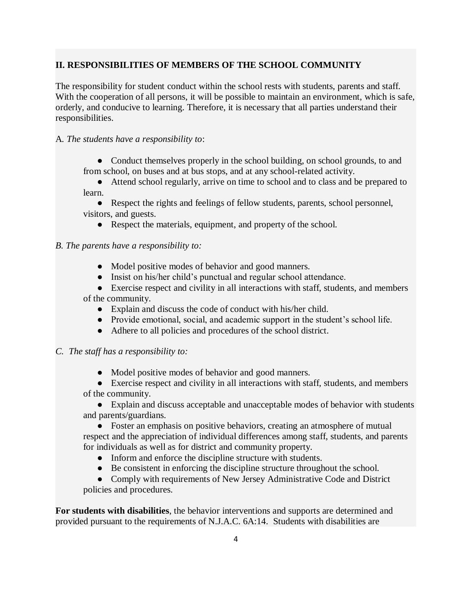# **II. RESPONSIBILITIES OF MEMBERS OF THE SCHOOL COMMUNITY**

The responsibility for student conduct within the school rests with students, parents and staff. With the cooperation of all persons, it will be possible to maintain an environment, which is safe, orderly, and conducive to learning. Therefore, it is necessary that all parties understand their responsibilities.

### A*. The students have a responsibility to*:

• Conduct themselves properly in the school building, on school grounds, to and from school, on buses and at bus stops, and at any school-related activity.

● Attend school regularly, arrive on time to school and to class and be prepared to learn.

● Respect the rights and feelings of fellow students, parents, school personnel, visitors, and guests.

• Respect the materials, equipment, and property of the school.

#### *B. The parents have a responsibility to:*

- Model positive modes of behavior and good manners.
- Insist on his/her child's punctual and regular school attendance.
- Exercise respect and civility in all interactions with staff, students, and members of the community.
	- Explain and discuss the code of conduct with his/her child.
	- Provide emotional, social, and academic support in the student's school life.
	- Adhere to all policies and procedures of the school district.

#### *C. The staff has a responsibility to:*

- Model positive modes of behavior and good manners.
- Exercise respect and civility in all interactions with staff, students, and members of the community.

● Explain and discuss acceptable and unacceptable modes of behavior with students and parents/guardians.

• Foster an emphasis on positive behaviors, creating an atmosphere of mutual respect and the appreciation of individual differences among staff, students, and parents for individuals as well as for district and community property.

- Inform and enforce the discipline structure with students.
- Be consistent in enforcing the discipline structure throughout the school.

• Comply with requirements of New Jersey Administrative Code and District policies and procedures.

**For students with disabilities**, the behavior interventions and supports are determined and provided pursuant to the requirements of N.J.A.C. 6A:14. Students with disabilities are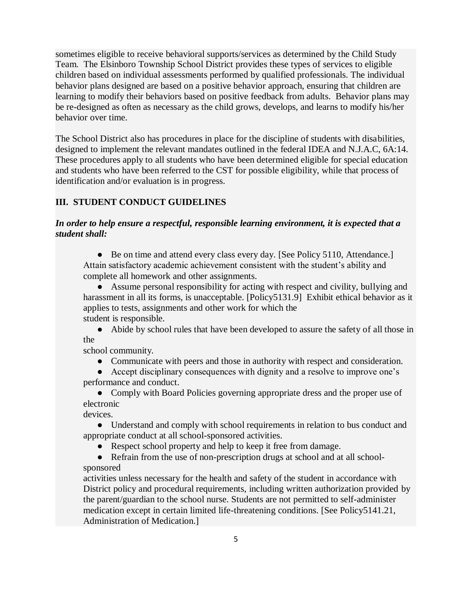sometimes eligible to receive behavioral supports/services as determined by the Child Study Team. The Elsinboro Township School District provides these types of services to eligible children based on individual assessments performed by qualified professionals. The individual behavior plans designed are based on a positive behavior approach, ensuring that children are learning to modify their behaviors based on positive feedback from adults. Behavior plans may be re-designed as often as necessary as the child grows, develops, and learns to modify his/her behavior over time.

The School District also has procedures in place for the discipline of students with disabilities, designed to implement the relevant mandates outlined in the federal IDEA and N.J.A.C, 6A:14. These procedures apply to all students who have been determined eligible for special education and students who have been referred to the CST for possible eligibility, while that process of identification and/or evaluation is in progress.

# **III. STUDENT CONDUCT GUIDELINES**

#### *In order to help ensure a respectful, responsible learning environment, it is expected that a student shall:*

• Be on time and attend every class every day. [See Policy 5110, Attendance.] Attain satisfactory academic achievement consistent with the student's ability and complete all homework and other assignments.

● Assume personal responsibility for acting with respect and civility, bullying and harassment in all its forms, is unacceptable. [Policy5131.9] Exhibit ethical behavior as it applies to tests, assignments and other work for which the student is responsible.

● Abide by school rules that have been developed to assure the safety of all those in the

school community.

● Communicate with peers and those in authority with respect and consideration.

● Accept disciplinary consequences with dignity and a resolve to improve one's performance and conduct.

• Comply with Board Policies governing appropriate dress and the proper use of electronic

devices.

● Understand and comply with school requirements in relation to bus conduct and appropriate conduct at all school-sponsored activities.

• Respect school property and help to keep it free from damage.

• Refrain from the use of non-prescription drugs at school and at all schoolsponsored

activities unless necessary for the health and safety of the student in accordance with District policy and procedural requirements, including written authorization provided by the parent/guardian to the school nurse. Students are not permitted to self-administer medication except in certain limited life-threatening conditions. [See Policy5141.21, Administration of Medication.]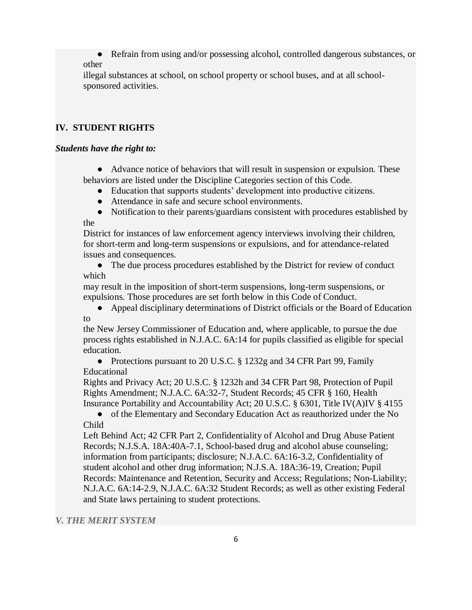● Refrain from using and/or possessing alcohol, controlled dangerous substances, or other

illegal substances at school, on school property or school buses, and at all schoolsponsored activities.

## **IV. STUDENT RIGHTS**

#### *Students have the right to:*

● Advance notice of behaviors that will result in suspension or expulsion. These behaviors are listed under the Discipline Categories section of this Code.

- Education that supports students' development into productive citizens.
- Attendance in safe and secure school environments.
- Notification to their parents/guardians consistent with procedures established by the

District for instances of law enforcement agency interviews involving their children, for short-term and long-term suspensions or expulsions, and for attendance-related issues and consequences.

• The due process procedures established by the District for review of conduct which

may result in the imposition of short-term suspensions, long-term suspensions, or expulsions. Those procedures are set forth below in this Code of Conduct.

● Appeal disciplinary determinations of District officials or the Board of Education to

the New Jersey Commissioner of Education and, where applicable, to pursue the due process rights established in N.J.A.C. 6A:14 for pupils classified as eligible for special education.

• Protections pursuant to 20 U.S.C. § 1232g and 34 CFR Part 99, Family Educational

Rights and Privacy Act; 20 U.S.C. § 1232h and 34 CFR Part 98, Protection of Pupil Rights Amendment; N.J.A.C. 6A:32-7, Student Records; 45 CFR § 160, Health Insurance Portability and Accountability Act; 20 U.S.C. § 6301, Title IV(A)IV § 4155

• of the Elementary and Secondary Education Act as reauthorized under the No Child

Left Behind Act; 42 CFR Part 2, Confidentiality of Alcohol and Drug Abuse Patient Records; N.J.S.A. 18A:40A-7.1, School-based drug and alcohol abuse counseling; information from participants; disclosure; N.J.A.C. 6A:16-3.2, Confidentiality of student alcohol and other drug information; N.J.S.A. 18A:36-19, Creation; Pupil Records: Maintenance and Retention, Security and Access; Regulations; Non-Liability; N.J.A.C. 6A:14-2.9, N.J.A.C. 6A:32 Student Records; as well as other existing Federal and State laws pertaining to student protections.

#### *V. THE MERIT SYSTEM*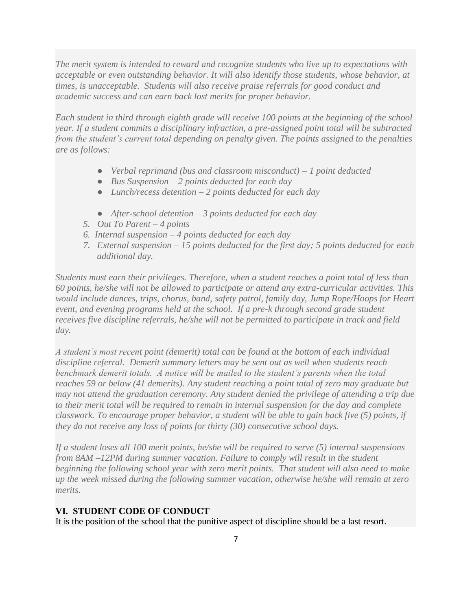*The merit system is intended to reward and recognize students who live up to expectations with acceptable or even outstanding behavior. It will also identify those students, whose behavior, at times, is unacceptable. Students will also receive praise referrals for good conduct and academic success and can earn back lost merits for proper behavior.*

*Each student in third through eighth grade will receive 100 points at the beginning of the school year. If a student commits a disciplinary infraction, a pre-assigned point total will be subtracted from the student's current total depending on penalty given. The points assigned to the penalties are as follows:*

- *Verbal reprimand (bus and classroom misconduct) – 1 point deducted*
- *Bus Suspension – 2 points deducted for each day*
- *Lunch/recess detention – 2 points deducted for each day*
- *After-school detention – 3 points deducted for each day*
- *5. Out To Parent – 4 points*
- *6. Internal suspension – 4 points deducted for each day*
- *7. External suspension – 15 points deducted for the first day; 5 points deducted for each additional day.*

*Students must earn their privileges. Therefore, when a student reaches a point total of less than 60 points, he/she will not be allowed to participate or attend any extra-curricular activities. This would include dances, trips, chorus, band, safety patrol, family day, Jump Rope/Hoops for Heart event, and evening programs held at the school. If a pre-k through second grade student receives five discipline referrals, he/she will not be permitted to participate in track and field day.* 

*A student's most recent point (demerit) total can be found at the bottom of each individual discipline referral. Demerit summary letters may be sent out as well when students reach benchmark demerit totals. A notice will be mailed to the student's parents when the total reaches 59 or below (41 demerits). Any student reaching a point total of zero may graduate but may not attend the graduation ceremony. Any student denied the privilege of attending a trip due to their merit total will be required to remain in internal suspension for the day and complete classwork. To encourage proper behavior, a student will be able to gain back five (5) points, if they do not receive any loss of points for thirty (30) consecutive school days.*

*If a student loses all 100 merit points, he/she will be required to serve (5) internal suspensions from 8AM –12PM during summer vacation. Failure to comply will result in the student beginning the following school year with zero merit points. That student will also need to make up the week missed during the following summer vacation, otherwise he/she will remain at zero merits.* 

#### **VI. STUDENT CODE OF CONDUCT**

It is the position of the school that the punitive aspect of discipline should be a last resort.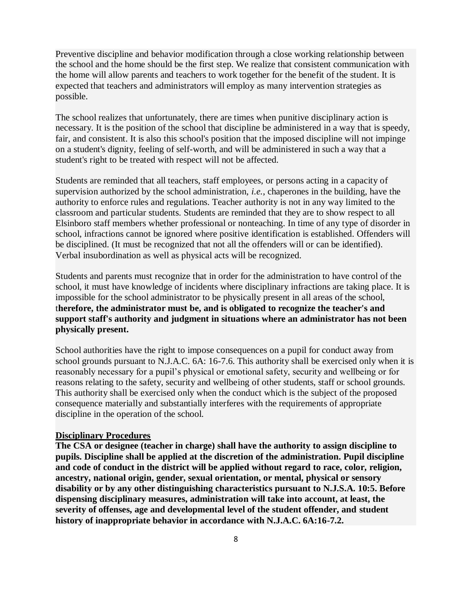Preventive discipline and behavior modification through a close working relationship between the school and the home should be the first step. We realize that consistent communication with the home will allow parents and teachers to work together for the benefit of the student. It is expected that teachers and administrators will employ as many intervention strategies as possible.

The school realizes that unfortunately, there are times when punitive disciplinary action is necessary. It is the position of the school that discipline be administered in a way that is speedy, fair, and consistent. It is also this school's position that the imposed discipline will not impinge on a student's dignity, feeling of self-worth, and will be administered in such a way that a student's right to be treated with respect will not be affected.

Students are reminded that all teachers, staff employees, or persons acting in a capacity of supervision authorized by the school administration, *i.e.*, chaperones in the building, have the authority to enforce rules and regulations. Teacher authority is not in any way limited to the classroom and particular students. Students are reminded that they are to show respect to all Elsinboro staff members whether professional or nonteaching. In time of any type of disorder in school, infractions cannot be ignored where positive identification is established. Offenders will be disciplined. (It must be recognized that not all the offenders will or can be identified). Verbal insubordination as well as physical acts will be recognized.

Students and parents must recognize that in order for the administration to have control of the school, it must have knowledge of incidents where disciplinary infractions are taking place. It is impossible for the school administrator to be physically present in all areas of the school, t**herefore, the administrator must be, and is obligated to recognize the teacher's and support staff's authority and judgment in situations where an administrator has not been physically present.**

School authorities have the right to impose consequences on a pupil for conduct away from school grounds pursuant to N.J.A.C. 6A: 16-7.6. This authority shall be exercised only when it is reasonably necessary for a pupil's physical or emotional safety, security and wellbeing or for reasons relating to the safety, security and wellbeing of other students, staff or school grounds. This authority shall be exercised only when the conduct which is the subject of the proposed consequence materially and substantially interferes with the requirements of appropriate discipline in the operation of the school.

#### **Disciplinary Procedures**

**The CSA or designee (teacher in charge) shall have the authority to assign discipline to pupils. Discipline shall be applied at the discretion of the administration. Pupil discipline and code of conduct in the district will be applied without regard to race, color, religion, ancestry, national origin, gender, sexual orientation, or mental, physical or sensory disability or by any other distinguishing characteristics pursuant to N.J.S.A. 10:5. Before dispensing disciplinary measures, administration will take into account, at least, the severity of offenses, age and developmental level of the student offender, and student history of inappropriate behavior in accordance with N.J.A.C. 6A:16-7.2.**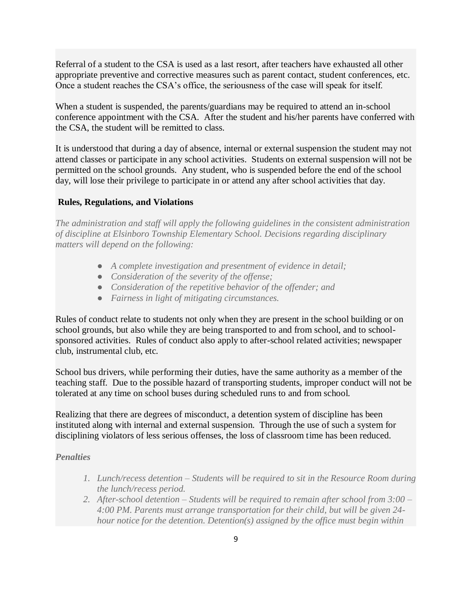Referral of a student to the CSA is used as a last resort, after teachers have exhausted all other appropriate preventive and corrective measures such as parent contact, student conferences, etc. Once a student reaches the CSA's office, the seriousness of the case will speak for itself.

When a student is suspended, the parents/guardians may be required to attend an in-school conference appointment with the CSA. After the student and his/her parents have conferred with the CSA, the student will be remitted to class.

It is understood that during a day of absence, internal or external suspension the student may not attend classes or participate in any school activities. Students on external suspension will not be permitted on the school grounds. Any student, who is suspended before the end of the school day, will lose their privilege to participate in or attend any after school activities that day.

#### **Rules, Regulations, and Violations**

*The administration and staff will apply the following guidelines in the consistent administration of discipline at Elsinboro Township Elementary School. Decisions regarding disciplinary matters will depend on the following:*

- *A complete investigation and presentment of evidence in detail;*
- *Consideration of the severity of the offense;*
- *Consideration of the repetitive behavior of the offender; and*
- *Fairness in light of mitigating circumstances.*

Rules of conduct relate to students not only when they are present in the school building or on school grounds, but also while they are being transported to and from school, and to schoolsponsored activities. Rules of conduct also apply to after-school related activities; newspaper club, instrumental club, etc.

School bus drivers, while performing their duties, have the same authority as a member of the teaching staff. Due to the possible hazard of transporting students, improper conduct will not be tolerated at any time on school buses during scheduled runs to and from school.

Realizing that there are degrees of misconduct, a detention system of discipline has been instituted along with internal and external suspension. Through the use of such a system for disciplining violators of less serious offenses, the loss of classroom time has been reduced.

#### *Penalties*

- *1. Lunch/recess detention – Students will be required to sit in the Resource Room during the lunch/recess period.*
- *2. After-school detention – Students will be required to remain after school from 3:00 – 4:00 PM. Parents must arrange transportation for their child, but will be given 24 hour notice for the detention. Detention(s) assigned by the office must begin within*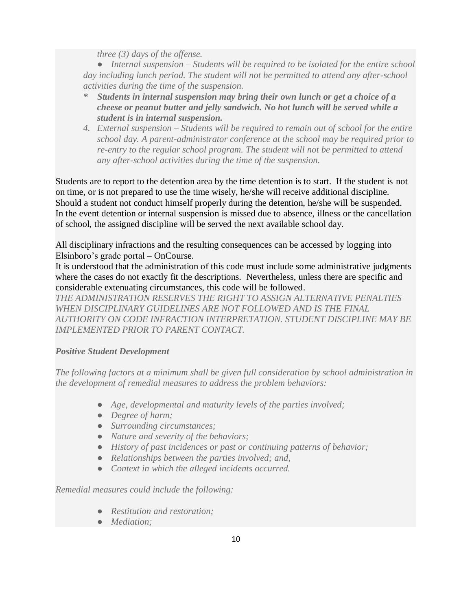*three (3) days of the offense.*

● *Internal suspension – Students will be required to be isolated for the entire school day including lunch period. The student will not be permitted to attend any after-school activities during the time of the suspension.*

- *\* Students in internal suspension may bring their own lunch or get a choice of a cheese or peanut butter and jelly sandwich. No hot lunch will be served while a student is in internal suspension.*
- *4. External suspension – Students will be required to remain out of school for the entire school day. A parent-administrator conference at the school may be required prior to re-entry to the regular school program. The student will not be permitted to attend any after-school activities during the time of the suspension.*

Students are to report to the detention area by the time detention is to start. If the student is not on time, or is not prepared to use the time wisely, he/she will receive additional discipline. Should a student not conduct himself properly during the detention, he/she will be suspended. In the event detention or internal suspension is missed due to absence, illness or the cancellation of school, the assigned discipline will be served the next available school day.

All disciplinary infractions and the resulting consequences can be accessed by logging into Elsinboro's grade portal – OnCourse.

It is understood that the administration of this code must include some administrative judgments where the cases do not exactly fit the descriptions. Nevertheless, unless there are specific and considerable extenuating circumstances, this code will be followed.

*THE ADMINISTRATION RESERVES THE RIGHT TO ASSIGN ALTERNATIVE PENALTIES WHEN DISCIPLINARY GUIDELINES ARE NOT FOLLOWED AND IS THE FINAL AUTHORITY ON CODE INFRACTION INTERPRETATION. STUDENT DISCIPLINE MAY BE IMPLEMENTED PRIOR TO PARENT CONTACT.*

# *Positive Student Development*

*The following factors at a minimum shall be given full consideration by school administration in the development of remedial measures to address the problem behaviors:*

- *Age, developmental and maturity levels of the parties involved;*
- *Degree of harm;*
- *Surrounding circumstances;*
- *Nature and severity of the behaviors;*
- *History of past incidences or past or continuing patterns of behavior;*
- *Relationships between the parties involved; and,*
- *Context in which the alleged incidents occurred.*

*Remedial measures could include the following:*

- *Restitution and restoration;*
- *Mediation;*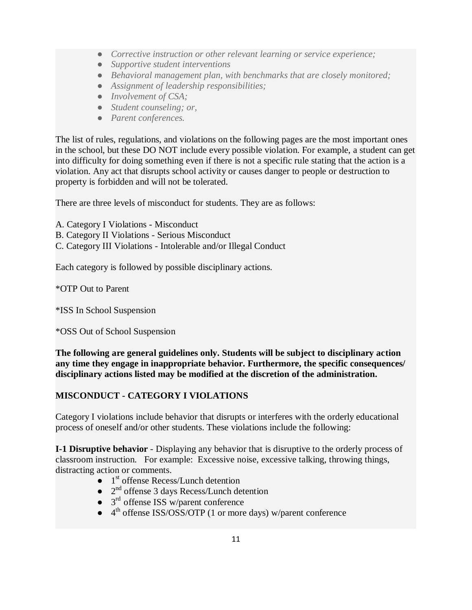- *Corrective instruction or other relevant learning or service experience;*
- *Supportive student interventions*
- *Behavioral management plan, with benchmarks that are closely monitored;*
- *Assignment of leadership responsibilities;*
- *Involvement of CSA*;
- *Student counseling; or,*
- *Parent conferences.*

The list of rules, regulations, and violations on the following pages are the most important ones in the school, but these DO NOT include every possible violation. For example, a student can get into difficulty for doing something even if there is not a specific rule stating that the action is a violation. Any act that disrupts school activity or causes danger to people or destruction to property is forbidden and will not be tolerated.

There are three levels of misconduct for students. They are as follows:

A. Category I Violations - Misconduct

- B. Category II Violations Serious Misconduct
- C. Category III Violations Intolerable and/or Illegal Conduct

Each category is followed by possible disciplinary actions.

\*OTP Out to Parent

\*ISS In School Suspension

\*OSS Out of School Suspension

**The following are general guidelines only. Students will be subject to disciplinary action any time they engage in inappropriate behavior. Furthermore, the specific consequences/ disciplinary actions listed may be modified at the discretion of the administration.**

# **MISCONDUCT - CATEGORY I VIOLATIONS**

Category I violations include behavior that disrupts or interferes with the orderly educational process of oneself and/or other students. These violations include the following:

**I-1 Disruptive behavior** - Displaying any behavior that is disruptive to the orderly process of classroom instruction. For example: Excessive noise, excessive talking, throwing things, distracting action or comments.

- $\bullet$  1<sup>st</sup> offense Recess/Lunch detention
- $\bullet$   $2^{nd}$  offense 3 days Recess/Lunch detention
- $\bullet$  3<sup>rd</sup> offense ISS w/parent conference
- 4<sup>th</sup> offense ISS/OSS/OTP (1 or more days) w/parent conference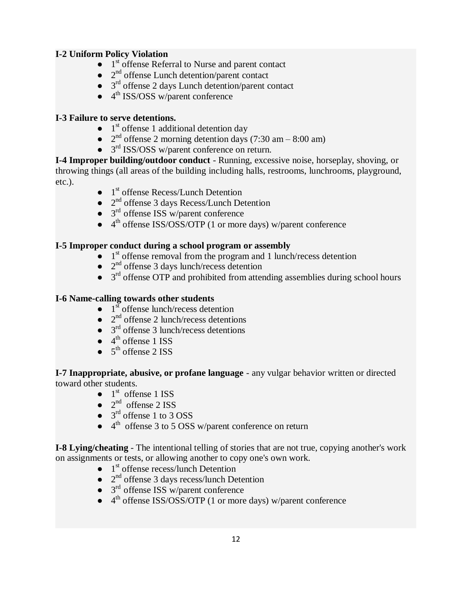# **I-2 Uniform Policy Violation**

- $\bullet$  1<sup>st</sup> offense Referral to Nurse and parent contact
- 2<sup>nd</sup> offense Lunch detention/parent contact
- 3<sup>rd</sup> offense 2 days Lunch detention/parent contact
- $\bullet$  4<sup>th</sup> ISS/OSS w/parent conference

# **I-3 Failure to serve detentions.**

- $\bullet$  1<sup>st</sup> offense 1 additional detention day
- $2<sup>nd</sup>$  offense 2 morning detention days (7:30 am 8:00 am)
- 3<sup>rd</sup> ISS/OSS w/parent conference on return.

**I-4 Improper building/outdoor conduct** - Running, excessive noise, horseplay, shoving, or throwing things (all areas of the building including halls, restrooms, lunchrooms, playground, etc.).

- $\bullet$  1<sup>st</sup> offense Recess/Lunch Detention
- 2<sup>nd</sup> offense 3 days Recess/Lunch Detention
- 3<sup>rd</sup> offense ISS w/parent conference
- 4<sup>th</sup> offense ISS/OSS/OTP (1 or more days) w/parent conference

### **I-5 Improper conduct during a school program or assembly**

- 1<sup>st</sup> offense removal from the program and 1 lunch/recess detention
- 2<sup>nd</sup> offense 3 days lunch/recess detention
- 3<sup>rd</sup> offense OTP and prohibited from attending assemblies during school hours

### **I-6 Name-calling towards other students**

- $\bullet$  1<sup>st</sup> offense lunch/recess detention
- $\bullet$  2<sup>nd</sup> offense 2 lunch/recess detentions
- $\bullet$  3<sup>rd</sup> offense 3 lunch/recess detentions
- $\bullet$  4<sup>th</sup> offense 1 ISS
- $\bullet$  5<sup>th</sup> offense 2 ISS

**I-7 Inappropriate, abusive, or profane language** - any vulgar behavior written or directed toward other students.

- $\bullet$  1<sup>st</sup> offense 1 ISS
- $\bullet$  2<sup>nd</sup> offense 2 ISS
- $\bullet$  3<sup>rd</sup> offense 1 to 3 OSS
- $\bullet$  4<sup>th</sup> offense 3 to 5 OSS w/parent conference on return

**I-8 Lying/cheating** - The intentional telling of stories that are not true, copying another's work on assignments or tests, or allowing another to copy one's own work.

- $\bullet$  1<sup>st</sup> offense recess/lunch Detention
- 2<sup>nd</sup> offense 3 days recess/lunch Detention
- 3<sup>rd</sup> offense ISS w/parent conference
- 4<sup>th</sup> offense ISS/OSS/OTP (1 or more days) w/parent conference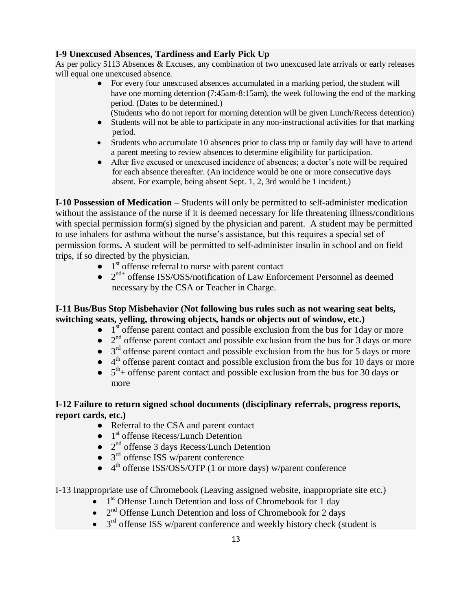# **I-9 Unexcused Absences, Tardiness and Early Pick Up**

As per policy 5113 Absences & Excuses, any combination of two unexcused late arrivals or early releases will equal one unexcused absence.

- For every four unexcused absences accumulated in a marking period, the student will have one morning detention (7:45am-8:15am), the week following the end of the marking period. (Dates to be determined.)
	- (Students who do not report for morning detention will be given Lunch/Recess detention)
- Students will not be able to participate in any non-instructional activities for that marking period.
- Students who accumulate 10 absences prior to class trip or family day will have to attend a parent meeting to review absences to determine eligibility for participation.
- After five excused or unexcused incidence of absences; a doctor's note will be required for each absence thereafter. (An incidence would be one or more consecutive days absent. For example, being absent Sept. 1, 2, 3rd would be 1 incident.)

**I-10 Possession of Medication –** Students will only be permitted to self-administer medication without the assistance of the nurse if it is deemed necessary for life threatening illness/conditions with special permission form(s) signed by the physician and parent. A student may be permitted to use inhalers for asthma without the nurse's assistance, but this requires a special set of permission forms**.** A student will be permitted to self-administer insulin in school and on field trips, if so directed by the physician.

- $\bullet$  1<sup>st</sup> offense referral to nurse with parent contact
- $2<sup>nd+</sup>$  offense ISS/OSS/notification of Law Enforcement Personnel as deemed necessary by the CSA or Teacher in Charge.

## **I-11 Bus/Bus Stop Misbehavior (Not following bus rules such as not wearing seat belts, switching seats, yelling, throwing objects, hands or objects out of window, etc.)**

- 1<sup>st</sup> offense parent contact and possible exclusion from the bus for 1day or more
- $\bullet$   $2<sup>nd</sup>$  offense parent contact and possible exclusion from the bus for 3 days or more
- $\bullet$  3<sup>rd</sup> offense parent contact and possible exclusion from the bus for 5 days or more
- $\bullet$  4<sup>th</sup> offense parent contact and possible exclusion from the bus for 10 days or more
- $\bullet$  5<sup>th</sup>+ offense parent contact and possible exclusion from the bus for 30 days or more

# **I-12 Failure to return signed school documents (disciplinary referrals, progress reports, report cards, etc.)**

- Referral to the CSA and parent contact
- 1<sup>st</sup> offense Recess/Lunch Detention
- 2<sup>nd</sup> offense 3 days Recess/Lunch Detention
- 3<sup>rd</sup> offense ISS w/parent conference
- 4<sup>th</sup> offense ISS/OSS/OTP (1 or more days) w/parent conference

I-13 Inappropriate use of Chromebook (Leaving assigned website, inappropriate site etc.)

- $\bullet$  1<sup>st</sup> Offense Lunch Detention and loss of Chromebook for 1 day
- $\bullet$  2<sup>nd</sup> Offense Lunch Detention and loss of Chromebook for 2 days
- $\bullet$  3<sup>rd</sup> offense ISS w/parent conference and weekly history check (student is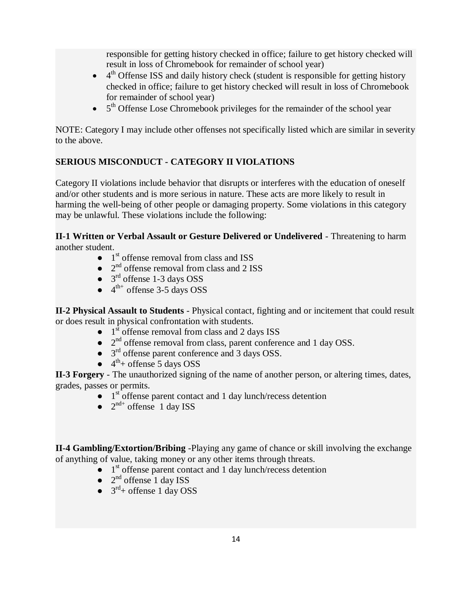responsible for getting history checked in office; failure to get history checked will result in loss of Chromebook for remainder of school year)

- $\bullet$  4<sup>th</sup> Offense ISS and daily history check (student is responsible for getting history checked in office; failure to get history checked will result in loss of Chromebook for remainder of school year)
- $\bullet$  5<sup>th</sup> Offense Lose Chromebook privileges for the remainder of the school year

NOTE: Category I may include other offenses not specifically listed which are similar in severity to the above.

# **SERIOUS MISCONDUCT - CATEGORY II VIOLATIONS**

Category II violations include behavior that disrupts or interferes with the education of oneself and/or other students and is more serious in nature. These acts are more likely to result in harming the well-being of other people or damaging property. Some violations in this category may be unlawful. These violations include the following:

**II-1 Written or Verbal Assault or Gesture Delivered or Undelivered** - Threatening to harm another student.

- $\bullet$  1<sup>st</sup> offense removal from class and ISS
- $\bullet$   $2<sup>nd</sup>$  offense removal from class and 2 ISS
- $\bullet$  3<sup>rd</sup> offense 1-3 days OSS
- $\bullet$  4<sup>th+</sup> offense 3-5 days OSS

**II-2 Physical Assault to Students** - Physical contact, fighting and or incitement that could result or does result in physical confrontation with students.

- $\bullet$  1<sup>st</sup> offense removal from class and 2 days ISS
- $2<sup>nd</sup>$  offense removal from class, parent conference and 1 day OSS.
- 3<sup>rd</sup> offense parent conference and 3 days OSS.
- $\bullet$  4<sup>th</sup>+ offense 5 days OSS

**II-3 Forgery** - The unauthorized signing of the name of another person, or altering times, dates, grades, passes or permits.

- $\bullet$  1<sup>st</sup> offense parent contact and 1 day lunch/recess detention
- $\bullet$   $2^{nd+}$  offense 1 day ISS

**II-4 Gambling/Extortion/Bribing** -Playing any game of chance or skill involving the exchange of anything of value, taking money or any other items through threats.

- 1<sup>st</sup> offense parent contact and 1 day lunch/recess detention
- $\bullet$   $2^{nd}$  offense 1 day ISS
- $\bullet$  3<sup>rd</sup>+ offense 1 day OSS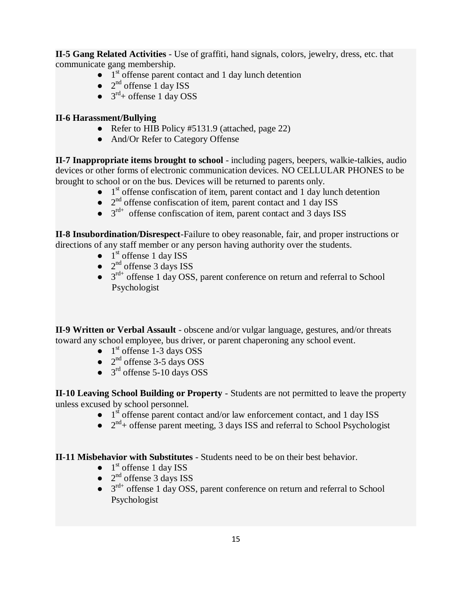**II-5 Gang Related Activities** - Use of graffiti, hand signals, colors, jewelry, dress, etc. that communicate gang membership.

- $\bullet$  1<sup>st</sup> offense parent contact and 1 day lunch detention
- $\bullet$   $2^{nd}$  offense 1 day ISS
- $\bullet$  3<sup>rd</sup>+ offense 1 day OSS

#### **II-6 Harassment/Bullying**

- Refer to HIB Policy #5131.9 (attached, page 22)
- And/Or Refer to Category Offense

**II-7 Inappropriate items brought to school** - including pagers, beepers, walkie-talkies, audio devices or other forms of electronic communication devices. NO CELLULAR PHONES to be brought to school or on the bus. Devices will be returned to parents only.

- $\bullet$  1<sup>st</sup> offense confiscation of item, parent contact and 1 day lunch detention
- $\bullet$   $2<sup>nd</sup>$  offense confiscation of item, parent contact and 1 day ISS
- $\bullet$   $3^{\text{rd+}}$  offense confiscation of item, parent contact and 3 days ISS

**II-8 Insubordination/Disrespect**-Failure to obey reasonable, fair, and proper instructions or directions of any staff member or any person having authority over the students.

- $\bullet$  1<sup>st</sup> offense 1 day ISS
- $\bullet$   $2^{nd}$  offense 3 days ISS
- $\bullet$  3<sup>rd+</sup> offense 1 day OSS, parent conference on return and referral to School Psychologist

**II-9 Written or Verbal Assault** - obscene and/or vulgar language, gestures, and/or threats toward any school employee, bus driver, or parent chaperoning any school event.

- $\bullet$  1<sup>st</sup> offense 1-3 days OSS
- $\bullet$  2<sup>nd</sup> offense 3-5 days OSS
- $\bullet$  3<sup>rd</sup> offense 5-10 days OSS

**II-10 Leaving School Building or Property** - Students are not permitted to leave the property unless excused by school personnel.

- $\bullet$  1<sup>st</sup> offense parent contact and/or law enforcement contact, and 1 day ISS
- $\bullet$   $2^{nd}$ + offense parent meeting, 3 days ISS and referral to School Psychologist

### **II-11 Misbehavior with Substitutes** - Students need to be on their best behavior.

- $\bullet$  1<sup>st</sup> offense 1 day ISS
- $\bullet$   $2^{nd}$  offense 3 days ISS
- $\bullet$  3<sup>rd+</sup> offense 1 day OSS, parent conference on return and referral to School Psychologist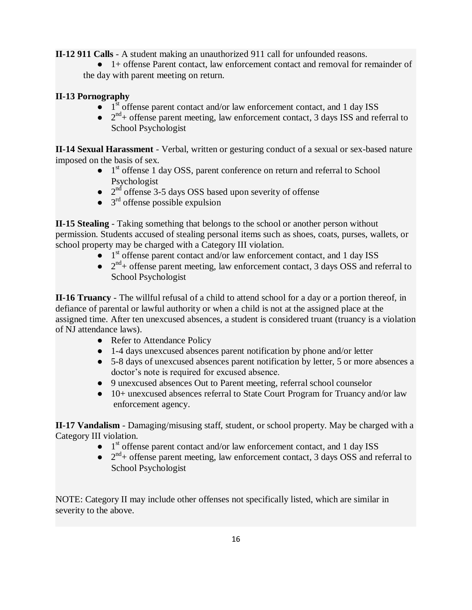**II-12 911 Calls** - A student making an unauthorized 911 call for unfounded reasons.

● 1+ offense Parent contact, law enforcement contact and removal for remainder of the day with parent meeting on return.

# **II-13 Pornography**

- $\bullet$  1<sup>st</sup> offense parent contact and/or law enforcement contact, and 1 day ISS
- $\bullet$   $2^{nd}$ + offense parent meeting, law enforcement contact, 3 days ISS and referral to School Psychologist

**II-14 Sexual Harassment** - Verbal, written or gesturing conduct of a sexual or sex-based nature imposed on the basis of sex.

- 1<sup>st</sup> offense 1 day OSS, parent conference on return and referral to School Psychologist
- $\bullet$  2<sup>nd</sup> offense 3-5 days OSS based upon severity of offense
- $\bullet$  3<sup>rd</sup> offense possible expulsion

**II-15 Stealing** - Taking something that belongs to the school or another person without permission. Students accused of stealing personal items such as shoes, coats, purses, wallets, or school property may be charged with a Category III violation.

- 1<sup>st</sup> offense parent contact and/or law enforcement contact, and 1 day ISS
- $\bullet$   $2^{nd}$ + offense parent meeting, law enforcement contact, 3 days OSS and referral to School Psychologist

**II-16 Truancy** - The willful refusal of a child to attend school for a day or a portion thereof, in defiance of parental or lawful authority or when a child is not at the assigned place at the assigned time. After ten unexcused absences, a student is considered truant (truancy is a violation of NJ attendance laws).

- Refer to Attendance Policy
- 1-4 days unexcused absences parent notification by phone and/or letter
- 5-8 days of unexcused absences parent notification by letter, 5 or more absences a doctor's note is required for excused absence.
- 9 unexcused absences Out to Parent meeting, referral school counselor
- 10+ unexcused absences referral to State Court Program for Truancy and/or law enforcement agency.

**II-17 Vandalism** - Damaging/misusing staff, student, or school property. May be charged with a Category III violation.

- 1<sup>st</sup> offense parent contact and/or law enforcement contact, and 1 day ISS
- $\bullet$   $2^{nd}$ + offense parent meeting, law enforcement contact, 3 days OSS and referral to School Psychologist

NOTE: Category II may include other offenses not specifically listed, which are similar in severity to the above.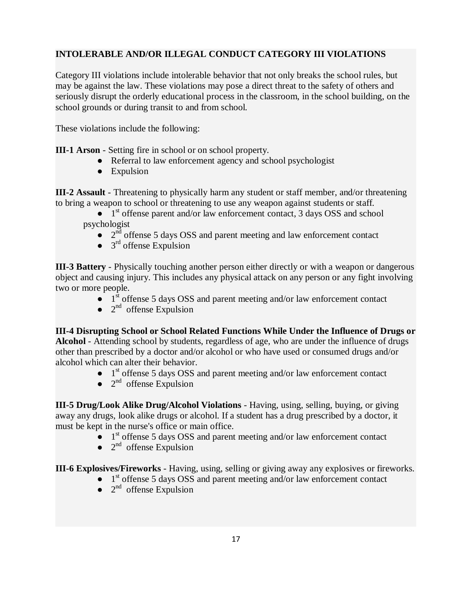# **INTOLERABLE AND/OR ILLEGAL CONDUCT CATEGORY III VIOLATIONS**

Category III violations include intolerable behavior that not only breaks the school rules, but may be against the law. These violations may pose a direct threat to the safety of others and seriously disrupt the orderly educational process in the classroom, in the school building, on the school grounds or during transit to and from school.

These violations include the following:

- **III-1 Arson** Setting fire in school or on school property.
	- Referral to law enforcement agency and school psychologist
	- Expulsion

**III-2 Assault** - Threatening to physically harm any student or staff member, and/or threatening to bring a weapon to school or threatening to use any weapon against students or staff.

 $\bullet$  1<sup>st</sup> offense parent and/or law enforcement contact, 3 days OSS and school psychologist

- $\bullet$   $2^{\overline{nd}}$  offense 5 days OSS and parent meeting and law enforcement contact
- $\bullet$  3<sup>rd</sup> offense Expulsion

**III-3 Battery** - Physically touching another person either directly or with a weapon or dangerous object and causing injury. This includes any physical attack on any person or any fight involving two or more people.

- $\bullet$  1<sup>st</sup> offense 5 days OSS and parent meeting and/or law enforcement contact
- $\bullet$   $2^{nd}$  offense Expulsion

**III-4 Disrupting School or School Related Functions While Under the Influence of Drugs or Alcohol** - Attending school by students, regardless of age, who are under the influence of drugs other than prescribed by a doctor and/or alcohol or who have used or consumed drugs and/or alcohol which can alter their behavior.

- $\bullet$  1<sup>st</sup> offense 5 days OSS and parent meeting and/or law enforcement contact
- $\bullet$   $2^{nd}$  offense Expulsion

**III-5 Drug/Look Alike Drug/Alcohol Violations** - Having, using, selling, buying, or giving away any drugs, look alike drugs or alcohol. If a student has a drug prescribed by a doctor, it must be kept in the nurse's office or main office.

- $\bullet$  1<sup>st</sup> offense 5 days OSS and parent meeting and/or law enforcement contact
- $\bullet$  2<sup>nd</sup> offense Expulsion

**III-6 Explosives/Fireworks** - Having, using, selling or giving away any explosives or fireworks.

- 1<sup>st</sup> offense 5 days OSS and parent meeting and/or law enforcement contact
- $\bullet$  2<sup>nd</sup> offense Expulsion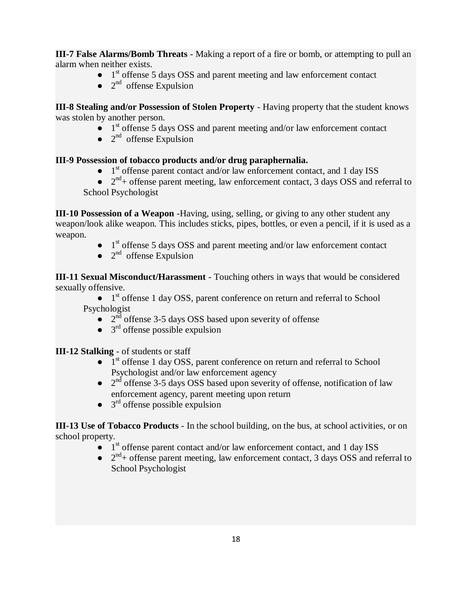**III-7 False Alarms/Bomb Threats** - Making a report of a fire or bomb, or attempting to pull an alarm when neither exists.

- 1<sup>st</sup> offense 5 days OSS and parent meeting and law enforcement contact
- $\bullet$  2<sup>nd</sup> offense Expulsion

**III-8 Stealing and/or Possession of Stolen Property** - Having property that the student knows was stolen by another person.

- $\bullet$  1<sup>st</sup> offense 5 days OSS and parent meeting and/or law enforcement contact
- $\bullet$  2<sup>nd</sup> offense Expulsion

### **III-9 Possession of tobacco products and/or drug paraphernalia.**

- 1<sup>st</sup> offense parent contact and/or law enforcement contact, and 1 day ISS
- $\bullet$   $2^{nd}$ + offense parent meeting, law enforcement contact, 3 days OSS and referral to School Psychologist

**III-10 Possession of a Weapon** -Having, using, selling, or giving to any other student any weapon/look alike weapon. This includes sticks, pipes, bottles, or even a pencil, if it is used as a weapon.

- $\bullet$  1<sup>st</sup> offense 5 days OSS and parent meeting and/or law enforcement contact
- $\bullet$  2<sup>nd</sup> offense Expulsion

**III-11 Sexual Misconduct/Harassment** - Touching others in ways that would be considered sexually offensive.

• 1<sup>st</sup> offense 1 day OSS, parent conference on return and referral to School Psychologist

- $\bullet$  2<sup>nd</sup> offense 3-5 days OSS based upon severity of offense
- $\bullet$  3<sup>rd</sup> offense possible expulsion

**III-12 Stalking** - of students or staff

- 1<sup>st</sup> offense 1 day OSS, parent conference on return and referral to School Psychologist and/or law enforcement agency
- $\bullet$  2<sup>nd</sup> offense 3-5 days OSS based upon severity of offense, notification of law enforcement agency, parent meeting upon return
- $\bullet$  3<sup>rd</sup> offense possible expulsion

**III-13 Use of Tobacco Products** - In the school building, on the bus, at school activities, or on school property.

- 1<sup>st</sup> offense parent contact and/or law enforcement contact, and 1 day ISS
- $\bullet$   $2^{nd}$ + offense parent meeting, law enforcement contact, 3 days OSS and referral to School Psychologist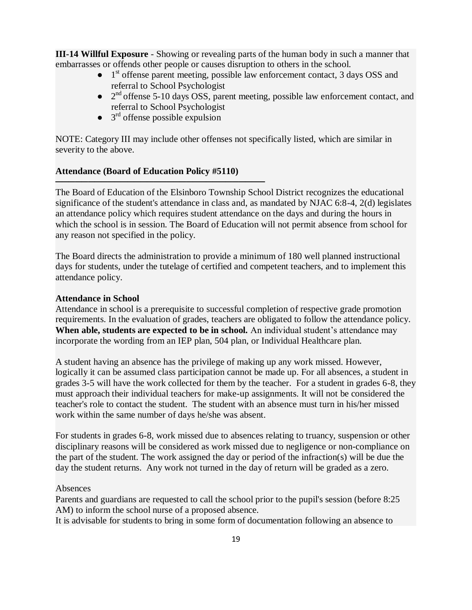**III-14 Willful Exposure** - Showing or revealing parts of the human body in such a manner that embarrasses or offends other people or causes disruption to others in the school.

- 1<sup>st</sup> offense parent meeting, possible law enforcement contact, 3 days OSS and referral to School Psychologist
- 2<sup>nd</sup> offense 5-10 days OSS, parent meeting, possible law enforcement contact, and referral to School Psychologist
- $\bullet$  3<sup>rd</sup> offense possible expulsion

─────────────────────────────<del>─</del>

NOTE: Category III may include other offenses not specifically listed, which are similar in severity to the above.

#### **Attendance (Board of Education Policy #5110)**

The Board of Education of the Elsinboro Township School District recognizes the educational significance of the student's attendance in class and, as mandated by NJAC 6:8-4, 2(d) legislates an attendance policy which requires student attendance on the days and during the hours in which the school is in session. The Board of Education will not permit absence from school for any reason not specified in the policy.

The Board directs the administration to provide a minimum of 180 well planned instructional days for students, under the tutelage of certified and competent teachers, and to implement this attendance policy.

#### **Attendance in School**

Attendance in school is a prerequisite to successful completion of respective grade promotion requirements. In the evaluation of grades, teachers are obligated to follow the attendance policy. **When able, students are expected to be in school.** An individual student's attendance may incorporate the wording from an IEP plan, 504 plan, or Individual Healthcare plan.

A student having an absence has the privilege of making up any work missed. However, logically it can be assumed class participation cannot be made up. For all absences, a student in grades 3-5 will have the work collected for them by the teacher. For a student in grades 6-8, they must approach their individual teachers for make-up assignments. It will not be considered the teacher's role to contact the student. The student with an absence must turn in his/her missed work within the same number of days he/she was absent.

For students in grades 6-8, work missed due to absences relating to truancy, suspension or other disciplinary reasons will be considered as work missed due to negligence or non-compliance on the part of the student. The work assigned the day or period of the infraction(s) will be due the day the student returns. Any work not turned in the day of return will be graded as a zero.

#### Absences

Parents and guardians are requested to call the school prior to the pupil's session (before 8:25 AM) to inform the school nurse of a proposed absence.

It is advisable for students to bring in some form of documentation following an absence to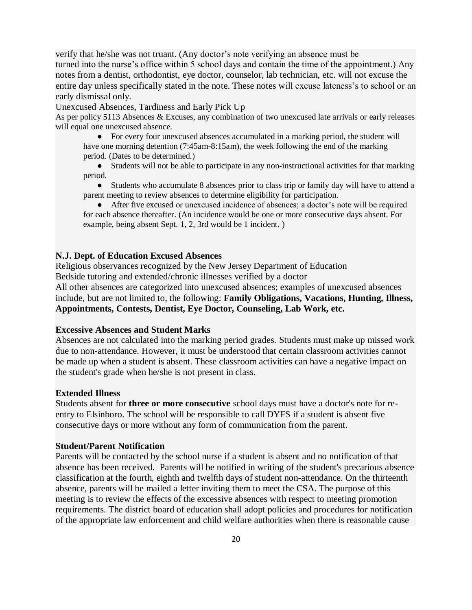verify that he/she was not truant. (Any doctor's note verifying an absence must be turned into the nurse's office within 5 school days and contain the time of the appointment.) Any notes from a dentist, orthodontist, eye doctor, counselor, lab technician, etc. will not excuse the entire day unless specifically stated in the note. These notes will excuse lateness's to school or an early dismissal only.

Unexcused Absences, Tardiness and Early Pick Up

As per policy 5113 Absences & Excuses, any combination of two unexcused late arrivals or early releases will equal one unexcused absence.

● For every four unexcused absences accumulated in a marking period, the student will have one morning detention (7:45am-8:15am), the week following the end of the marking period. (Dates to be determined.)

● Students will not be able to participate in any non-instructional activities for that marking period.

● Students who accumulate 8 absences prior to class trip or family day will have to attend a parent meeting to review absences to determine eligibility for participation.

● After five excused or unexcused incidence of absences; a doctor's note will be required for each absence thereafter. (An incidence would be one or more consecutive days absent. For example, being absent Sept. 1, 2, 3rd would be 1 incident. )

#### **N.J. Dept. of Education Excused Absences**

Religious observances recognized by the New Jersey Department of Education Bedside tutoring and extended/chronic illnesses verified by a doctor

All other absences are categorized into unexcused absences; examples of unexcused absences include, but are not limited to, the following: **Family Obligations, Vacations, Hunting, Illness, Appointments, Contests, Dentist, Eye Doctor, Counseling, Lab Work, etc.**

#### **Excessive Absences and Student Marks**

Absences are not calculated into the marking period grades. Students must make up missed work due to non-attendance. However, it must be understood that certain classroom activities cannot be made up when a student is absent. These classroom activities can have a negative impact on the student's grade when he/she is not present in class.

#### **Extended Illness**

Students absent for **three or more consecutive** school days must have a doctor's note for reentry to Elsinboro. The school will be responsible to call DYFS if a student is absent five consecutive days or more without any form of communication from the parent.

#### **Student/Parent Notification**

Parents will be contacted by the school nurse if a student is absent and no notification of that absence has been received. Parents will be notified in writing of the student's precarious absence classification at the fourth, eighth and twelfth days of student non-attendance. On the thirteenth absence, parents will be mailed a letter inviting them to meet the CSA. The purpose of this meeting is to review the effects of the excessive absences with respect to meeting promotion requirements. The district board of education shall adopt policies and procedures for notification of the appropriate law enforcement and child welfare authorities when there is reasonable cause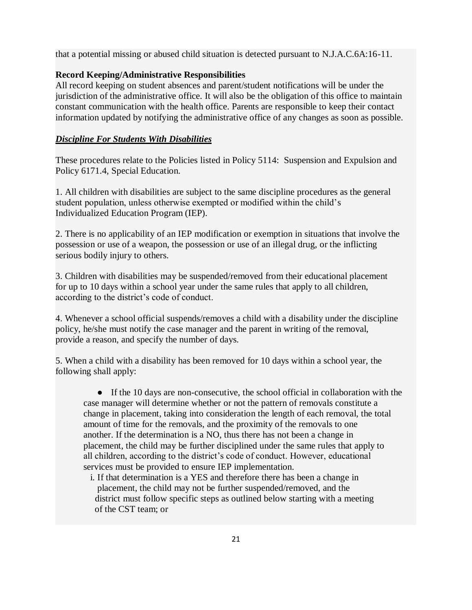that a potential missing or abused child situation is detected pursuant to N.J.A.C.6A:16-11.

#### **Record Keeping/Administrative Responsibilities**

All record keeping on student absences and parent/student notifications will be under the jurisdiction of the administrative office. It will also be the obligation of this office to maintain constant communication with the health office. Parents are responsible to keep their contact information updated by notifying the administrative office of any changes as soon as possible.

#### *Discipline For Students With Disabilities*

These procedures relate to the Policies listed in Policy 5114: Suspension and Expulsion and Policy 6171.4, Special Education.

1. All children with disabilities are subject to the same discipline procedures as the general student population, unless otherwise exempted or modified within the child's Individualized Education Program (IEP).

2. There is no applicability of an IEP modification or exemption in situations that involve the possession or use of a weapon, the possession or use of an illegal drug, or the inflicting serious bodily injury to others.

3. Children with disabilities may be suspended/removed from their educational placement for up to 10 days within a school year under the same rules that apply to all children, according to the district's code of conduct.

4. Whenever a school official suspends/removes a child with a disability under the discipline policy, he/she must notify the case manager and the parent in writing of the removal, provide a reason, and specify the number of days.

5. When a child with a disability has been removed for 10 days within a school year, the following shall apply:

● If the 10 days are non-consecutive, the school official in collaboration with the case manager will determine whether or not the pattern of removals constitute a change in placement, taking into consideration the length of each removal, the total amount of time for the removals, and the proximity of the removals to one another. If the determination is a NO, thus there has not been a change in placement, the child may be further disciplined under the same rules that apply to all children, according to the district's code of conduct. However, educational services must be provided to ensure IEP implementation.

 i. If that determination is a YES and therefore there has been a change in placement, the child may not be further suspended/removed, and the district must follow specific steps as outlined below starting with a meeting of the CST team; or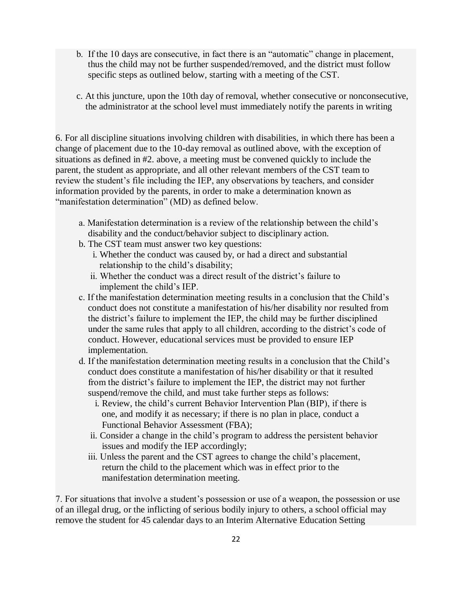- b. If the 10 days are consecutive, in fact there is an "automatic" change in placement, thus the child may not be further suspended/removed, and the district must follow specific steps as outlined below, starting with a meeting of the CST.
- c. At this juncture, upon the 10th day of removal, whether consecutive or nonconsecutive, the administrator at the school level must immediately notify the parents in writing

6. For all discipline situations involving children with disabilities, in which there has been a change of placement due to the 10-day removal as outlined above, with the exception of situations as defined in #2. above, a meeting must be convened quickly to include the parent, the student as appropriate, and all other relevant members of the CST team to review the student's file including the IEP, any observations by teachers, and consider information provided by the parents, in order to make a determination known as "manifestation determination" (MD) as defined below.

- a. Manifestation determination is a review of the relationship between the child's disability and the conduct/behavior subject to disciplinary action.
- b. The CST team must answer two key questions:
	- i. Whether the conduct was caused by, or had a direct and substantial relationship to the child's disability;
	- ii. Whether the conduct was a direct result of the district's failure to implement the child's IEP.
- c. If the manifestation determination meeting results in a conclusion that the Child's conduct does not constitute a manifestation of his/her disability nor resulted from the district's failure to implement the IEP, the child may be further disciplined under the same rules that apply to all children, according to the district's code of conduct. However, educational services must be provided to ensure IEP implementation.
- d. If the manifestation determination meeting results in a conclusion that the Child's conduct does constitute a manifestation of his/her disability or that it resulted from the district's failure to implement the IEP, the district may not further suspend/remove the child, and must take further steps as follows:
	- i. Review, the child's current Behavior Intervention Plan (BIP), if there is one, and modify it as necessary; if there is no plan in place, conduct a Functional Behavior Assessment (FBA);
	- ii. Consider a change in the child's program to address the persistent behavior issues and modify the IEP accordingly;
	- iii. Unless the parent and the CST agrees to change the child's placement, return the child to the placement which was in effect prior to the manifestation determination meeting.

7. For situations that involve a student's possession or use of a weapon, the possession or use of an illegal drug, or the inflicting of serious bodily injury to others, a school official may remove the student for 45 calendar days to an Interim Alternative Education Setting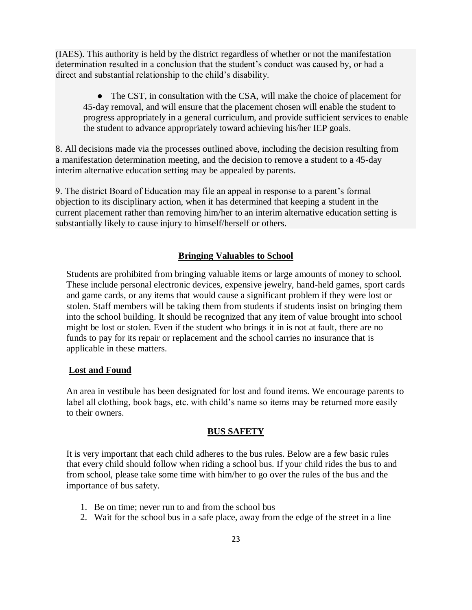(IAES). This authority is held by the district regardless of whether or not the manifestation determination resulted in a conclusion that the student's conduct was caused by, or had a direct and substantial relationship to the child's disability.

• The CST, in consultation with the CSA, will make the choice of placement for 45-day removal, and will ensure that the placement chosen will enable the student to progress appropriately in a general curriculum, and provide sufficient services to enable the student to advance appropriately toward achieving his/her IEP goals.

8. All decisions made via the processes outlined above, including the decision resulting from a manifestation determination meeting, and the decision to remove a student to a 45-day interim alternative education setting may be appealed by parents.

9. The district Board of Education may file an appeal in response to a parent's formal objection to its disciplinary action, when it has determined that keeping a student in the current placement rather than removing him/her to an interim alternative education setting is substantially likely to cause injury to himself/herself or others.

#### **Bringing Valuables to School**

Students are prohibited from bringing valuable items or large amounts of money to school. These include personal electronic devices, expensive jewelry, hand-held games, sport cards and game cards, or any items that would cause a significant problem if they were lost or stolen. Staff members will be taking them from students if students insist on bringing them into the school building. It should be recognized that any item of value brought into school might be lost or stolen. Even if the student who brings it in is not at fault, there are no funds to pay for its repair or replacement and the school carries no insurance that is applicable in these matters.

#### **Lost and Found**

An area in vestibule has been designated for lost and found items. We encourage parents to label all clothing, book bags, etc. with child's name so items may be returned more easily to their owners.

#### **BUS SAFETY**

It is very important that each child adheres to the bus rules. Below are a few basic rules that every child should follow when riding a school bus. If your child rides the bus to and from school, please take some time with him/her to go over the rules of the bus and the importance of bus safety.

- 1. Be on time; never run to and from the school bus
- 2. Wait for the school bus in a safe place, away from the edge of the street in a line